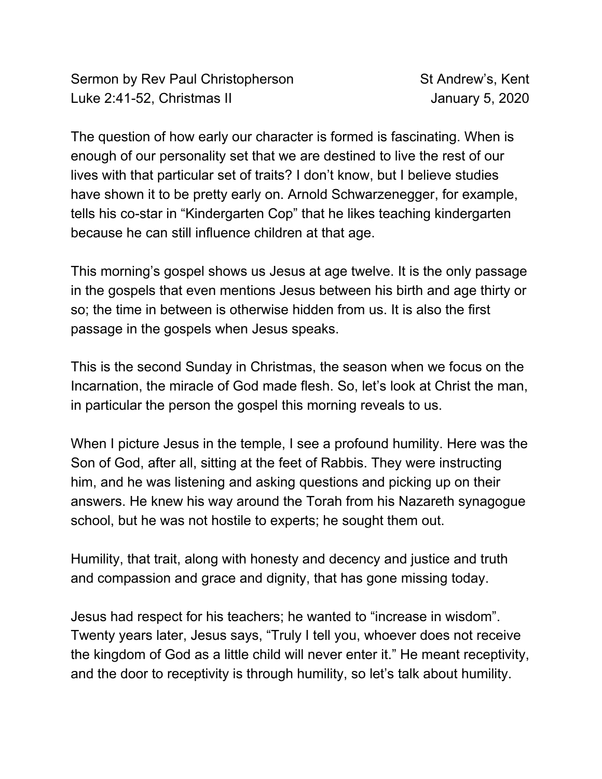Sermon by Rev Paul Christopherson St Andrew's, Kent Luke 2:41-52, Christmas II January 5, 2020

The question of how early our character is formed is fascinating. When is enough of our personality set that we are destined to live the rest of our lives with that particular set of traits? I don't know, but I believe studies have shown it to be pretty early on. Arnold Schwarzenegger, for example, tells his co-star in "Kindergarten Cop" that he likes teaching kindergarten because he can still influence children at that age.

This morning's gospel shows us Jesus at age twelve. It is the only passage in the gospels that even mentions Jesus between his birth and age thirty or so; the time in between is otherwise hidden from us. It is also the first passage in the gospels when Jesus speaks.

This is the second Sunday in Christmas, the season when we focus on the Incarnation, the miracle of God made flesh. So, let's look at Christ the man, in particular the person the gospel this morning reveals to us.

When I picture Jesus in the temple, I see a profound humility. Here was the Son of God, after all, sitting at the feet of Rabbis. They were instructing him, and he was listening and asking questions and picking up on their answers. He knew his way around the Torah from his Nazareth synagogue school, but he was not hostile to experts; he sought them out.

Humility, that trait, along with honesty and decency and justice and truth and compassion and grace and dignity, that has gone missing today.

Jesus had respect for his teachers; he wanted to "increase in wisdom". Twenty years later, Jesus says, "Truly I tell you, whoever does not receive the kingdom of God as a little child will never enter it." He meant receptivity, and the door to receptivity is through humility, so let's talk about humility.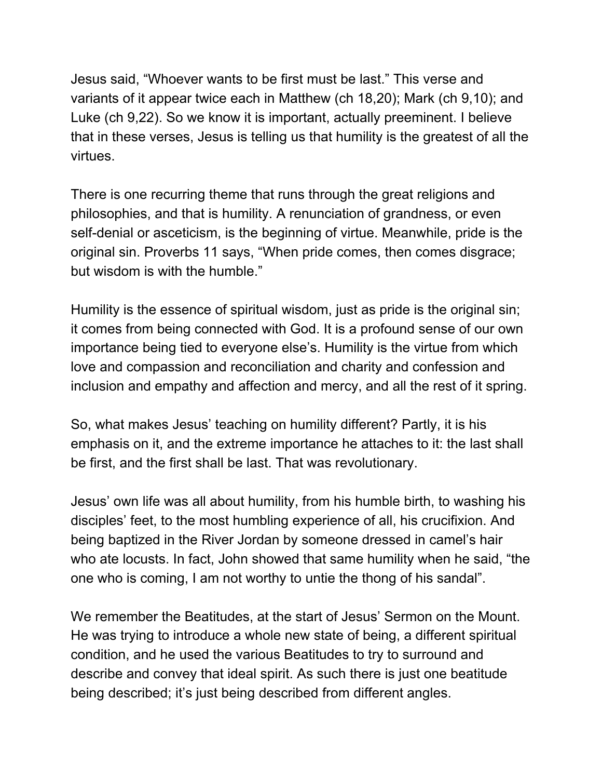Jesus said, "Whoever wants to be first must be last." This verse and variants of it appear twice each in Matthew (ch 18,20); Mark (ch 9,10); and Luke (ch 9,22). So we know it is important, actually preeminent. I believe that in these verses, Jesus is telling us that humility is the greatest of all the virtues.

There is one recurring theme that runs through the great religions and philosophies, and that is humility. A renunciation of grandness, or even self-denial or asceticism, is the beginning of virtue. Meanwhile, pride is the original sin. Proverbs 11 says, "When pride comes, then comes disgrace; but wisdom is with the humble."

Humility is the essence of spiritual wisdom, just as pride is the original sin; it comes from being connected with God. It is a profound sense of our own importance being tied to everyone else's. Humility is the virtue from which love and compassion and reconciliation and charity and confession and inclusion and empathy and affection and mercy, and all the rest of it spring.

So, what makes Jesus' teaching on humility different? Partly, it is his emphasis on it, and the extreme importance he attaches to it: the last shall be first, and the first shall be last. That was revolutionary.

Jesus' own life was all about humility, from his humble birth, to washing his disciples' feet, to the most humbling experience of all, his crucifixion. And being baptized in the River Jordan by someone dressed in camel's hair who ate locusts. In fact, John showed that same humility when he said, "the one who is coming, I am not worthy to untie the thong of his sandal".

We remember the Beatitudes, at the start of Jesus' Sermon on the Mount. He was trying to introduce a whole new state of being, a different spiritual condition, and he used the various Beatitudes to try to surround and describe and convey that ideal spirit. As such there is just one beatitude being described; it's just being described from different angles.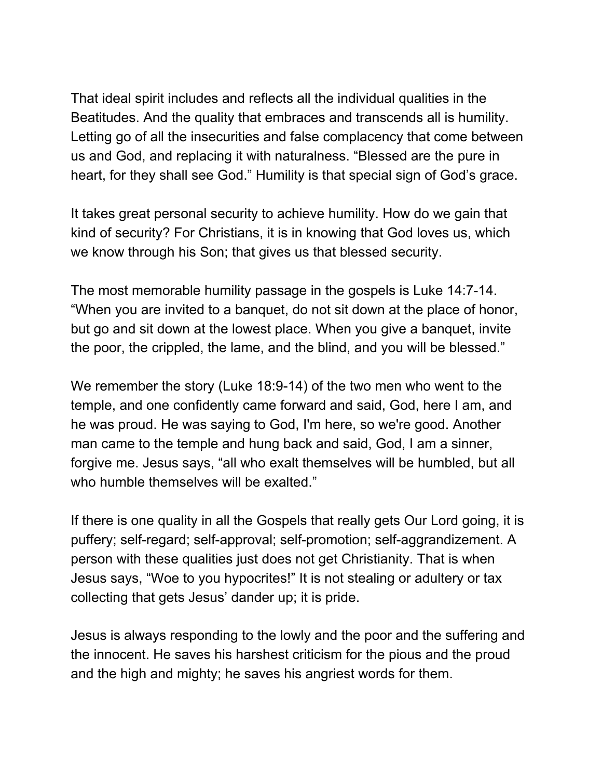That ideal spirit includes and reflects all the individual qualities in the Beatitudes. And the quality that embraces and transcends all is humility. Letting go of all the insecurities and false complacency that come between us and God, and replacing it with naturalness. "Blessed are the pure in heart, for they shall see God." Humility is that special sign of God's grace.

It takes great personal security to achieve humility. How do we gain that kind of security? For Christians, it is in knowing that God loves us, which we know through his Son; that gives us that blessed security.

The most memorable humility passage in the gospels is Luke 14:7-14. "When you are invited to a banquet, do not sit down at the place of honor, but go and sit down at the lowest place. When you give a banquet, invite the poor, the crippled, the lame, and the blind, and you will be blessed."

We remember the story (Luke 18:9-14) of the two men who went to the temple, and one confidently came forward and said, God, here I am, and he was proud. He was saying to God, I'm here, so we're good. Another man came to the temple and hung back and said, God, I am a sinner, forgive me. Jesus says, "all who exalt themselves will be humbled, but all who humble themselves will be exalted."

If there is one quality in all the Gospels that really gets Our Lord going, it is puffery; self-regard; self-approval; self-promotion; self-aggrandizement. A person with these qualities just does not get Christianity. That is when Jesus says, "Woe to you hypocrites!" It is not stealing or adultery or tax collecting that gets Jesus' dander up; it is pride.

Jesus is always responding to the lowly and the poor and the suffering and the innocent. He saves his harshest criticism for the pious and the proud and the high and mighty; he saves his angriest words for them.